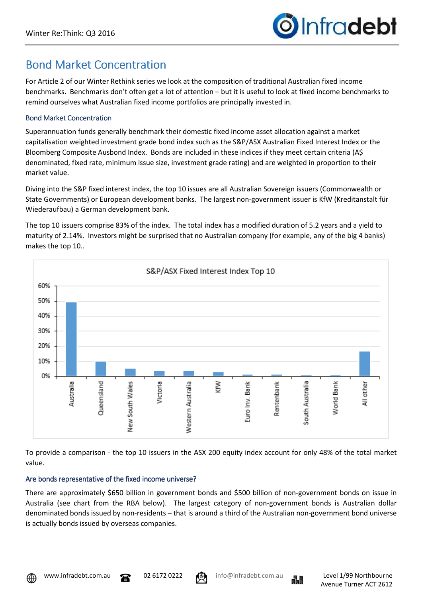## **Bond Market Concentration**

For Article 2 of our Winter Rethink series we look at the composition of traditional Australian fixed income benchmarks. Benchmarks don't often get a lot of attention – but it is useful to look at fixed income benchmarks to remind ourselves what Australian fixed income portfolios are principally invested in.

## Bond Market Concentration

Superannuation funds generally benchmark their domestic fixed income asset allocation against a market capitalisation weighted investment grade bond index such as the S&P/ASX Australian Fixed Interest Index or the Bloomberg Composite Ausbond Index. Bonds are included in these indices if they meet certain criteria (A\$ denominated, fixed rate, minimum issue size, investment grade rating) and are weighted in proportion to their market value.

Diving into the S&P fixed interest index, the top 10 issues are all Australian Sovereign issuers (Commonwealth or State Governments) or European development banks. The largest non-government issuer is KfW (Kreditanstalt für Wiederaufbau) a German development bank.

The top 10 issuers comprise 83% of the index. The total index has a modified duration of 5.2 years and a yield to maturity of 2.14%. Investors might be surprised that no Australian company (for example, any of the big 4 banks) makes the top 10..



To provide a comparison - the top 10 issuers in the ASX 200 equity index account for only 48% of the total market value.

## Are bonds representative of the fixed income universe?

There are approximately \$650 billion in government bonds and \$500 billion of non-government bonds on issue in Australia (see chart from the RBA below). The largest category of non-government bonds is Australian dollar denominated bonds issued by non-residents – that is around a third of the Australian non-government bond universe is actually bonds issued by overseas companies.